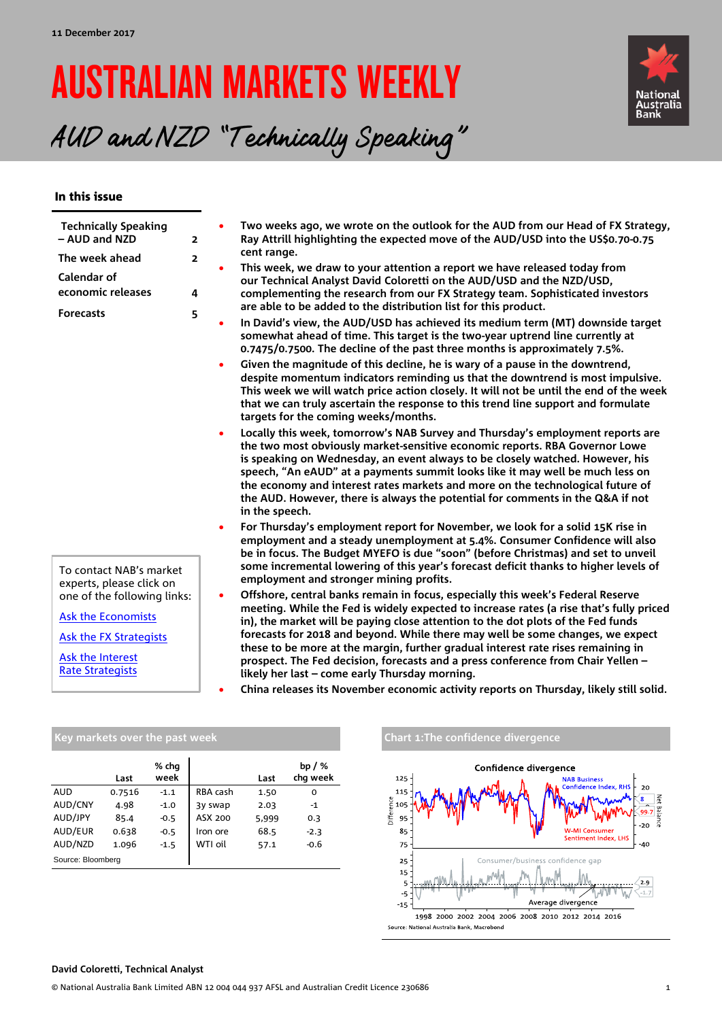# AUSTRALIAN MARKETS WEEKLY



## AUD and NZD "Technically Speaking"

#### In this issue

| <b>Technically Speaking</b><br>- AUD and NZD<br>The week ahead                                         | $\overline{\mathbf{2}}$ | Two weeks ago, we wrote on the outlook for the AUD from our Head of FX Strategy,<br>Ray Attrill highlighting the expected move of the AUD/USD into the US\$0.70-0.75<br>cent range.                                                                                                                                                                                                                                                                                                                                      |
|--------------------------------------------------------------------------------------------------------|-------------------------|--------------------------------------------------------------------------------------------------------------------------------------------------------------------------------------------------------------------------------------------------------------------------------------------------------------------------------------------------------------------------------------------------------------------------------------------------------------------------------------------------------------------------|
| <b>Calendar of</b><br>economic releases                                                                | $\overline{2}$<br>4     | This week, we draw to your attention a report we have released today from<br>our Technical Analyst David Coloretti on the AUD/USD and the NZD/USD,<br>complementing the research from our FX Strategy team. Sophisticated investors                                                                                                                                                                                                                                                                                      |
| <b>Forecasts</b>                                                                                       | 5                       | are able to be added to the distribution list for this product.<br>In David's view, the AUD/USD has achieved its medium term (MT) downside target<br>somewhat ahead of time. This target is the two-year uptrend line currently at<br>0.7475/0.7500. The decline of the past three months is approximately 7.5%.                                                                                                                                                                                                         |
|                                                                                                        |                         | Given the magnitude of this decline, he is wary of a pause in the downtrend,<br>despite momentum indicators reminding us that the downtrend is most impulsive.<br>This week we will watch price action closely. It will not be until the end of the week<br>that we can truly ascertain the response to this trend line support and formulate<br>targets for the coming weeks/months.                                                                                                                                    |
|                                                                                                        |                         | Locally this week, tomorrow's NAB Survey and Thursday's employment reports are<br>the two most obviously market-sensitive economic reports. RBA Governor Lowe<br>is speaking on Wednesday, an event always to be closely watched. However, his<br>speech, "An eAUD" at a payments summit looks like it may well be much less on<br>the economy and interest rates markets and more on the technological future of<br>the AUD. However, there is always the potential for comments in the Q&A if not<br>in the speech.    |
| To contact NAB's market<br>experts, please click on                                                    |                         | For Thursday's employment report for November, we look for a solid 15K rise in<br>employment and a steady unemployment at 5.4%. Consumer Confidence will also<br>be in focus. The Budget MYEFO is due "soon" (before Christmas) and set to unveil<br>some incremental lowering of this year's forecast deficit thanks to higher levels of<br>employment and stronger mining profits.                                                                                                                                     |
| one of the following links:<br><b>Ask the Economists</b><br>Ask the FX Strategists<br>Ask the Interest | ٠                       | Offshore, central banks remain in focus, especially this week's Federal Reserve<br>meeting. While the Fed is widely expected to increase rates (a rise that's fully priced<br>in), the market will be paying close attention to the dot plots of the Fed funds<br>forecasts for 2018 and beyond. While there may well be some changes, we expect<br>these to be more at the margin, further gradual interest rate rises remaining in<br>prospect. The Fed decision, forecasts and a press conference from Chair Yellen - |
| <b>Rate Strategists</b>                                                                                |                         | likely her last – come early Thursday morning.                                                                                                                                                                                                                                                                                                                                                                                                                                                                           |

• **China releases its November economic activity reports on Thursday, likely still solid.**

|                   | Last   | % chq<br>week |          | Last  | bp $/$ %<br>chq week |
|-------------------|--------|---------------|----------|-------|----------------------|
| <b>AUD</b>        | 0.7516 | $-1.1$        | RBA cash | 1.50  | 0                    |
| AUD/CNY           | 4.98   | $-1.0$        | 3y swap  | 2.03  | $-1$                 |
| AUD/JPY           | 85.4   | $-0.5$        | ASX 200  | 5,999 | 0.3                  |
| AUD/EUR           | 0.638  | $-0.5$        | Iron ore | 68.5  | $-2.3$               |
| AUD/NZD           | 1.096  | $-1.5$        | WTI oil  | 57.1  | $-0.6$               |
| Source: Bloomberg |        |               |          |       |                      |





#### **David Coloretti, Technical Analyst**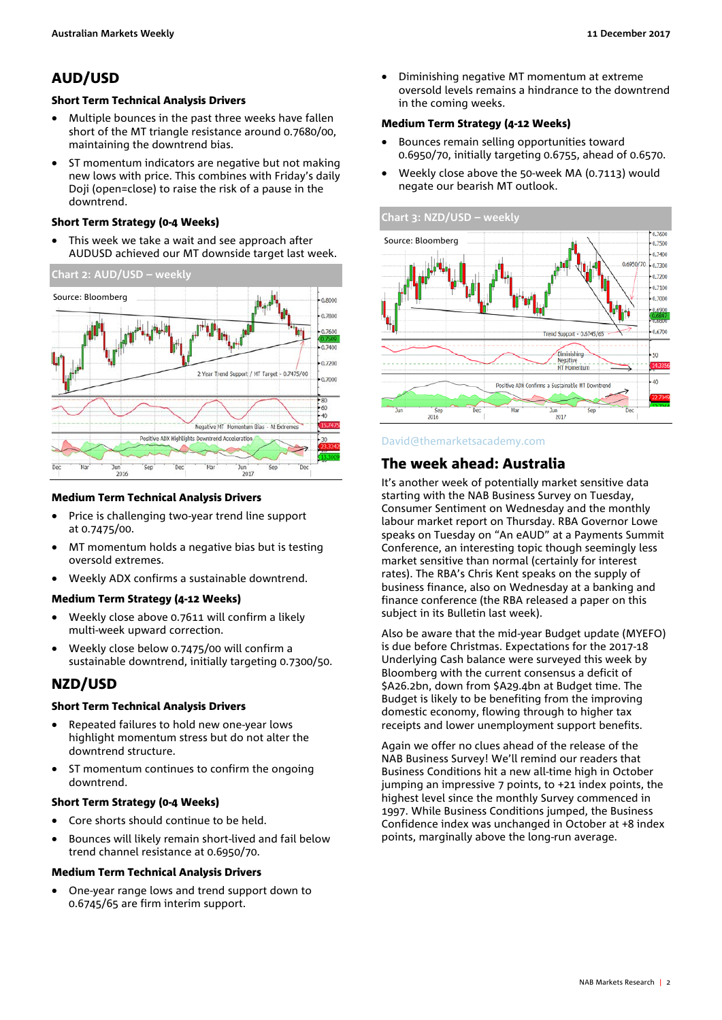### AUD/USD

#### <span id="page-1-0"></span>Short Term Technical Analysis Drivers

- Multiple bounces in the past three weeks have fallen short of the MT triangle resistance around 0.7680/00, maintaining the downtrend bias.
- ST momentum indicators are negative but not making new lows with price. This combines with Friday's daily Doji (open=close) to raise the risk of a pause in the downtrend.

#### Short Term Strategy (0-4 Weeks)

This week we take a wait and see approach after AUDUSD achieved our MT downside target last week.



#### Medium Term Technical Analysis Drivers

- Price is challenging two-year trend line support at 0.7475/00.
- MT momentum holds a negative bias but is testing oversold extremes.
- Weekly ADX confirms a sustainable downtrend.

#### Medium Term Strategy (4-12 Weeks)

- Weekly close above 0.7611 will confirm a likely multi-week upward correction.
- Weekly close below 0.7475/00 will confirm a sustainable downtrend, initially targeting 0.7300/50.

#### NZD/USD

#### Short Term Technical Analysis Drivers

- Repeated failures to hold new one-year lows highlight momentum stress but do not alter the downtrend structure.
- ST momentum continues to confirm the ongoing downtrend.

#### Short Term Strategy (0-4 Weeks)

- Core shorts should continue to be held.
- Bounces will likely remain short-lived and fail below trend channel resistance at 0.6950/70.

#### Medium Term Technical Analysis Drivers

• One-year range lows and trend support down to 0.6745/65 are firm interim support.

• Diminishing negative MT momentum at extreme oversold levels remains a hindrance to the downtrend in the coming weeks.

#### Medium Term Strategy (4-12 Weeks)

- Bounces remain selling opportunities toward 0.6950/70, initially targeting 0.6755, ahead of 0.6570.
- Weekly close above the 50-week MA (0.7113) would negate our bearish MT outlook.



#### [David@themarketsacademy.com](mailto:David@themarketsacademy.com)

#### <span id="page-1-1"></span>The week ahead: Australia

It's another week of potentially market sensitive data starting with the NAB Business Survey on Tuesday, Consumer Sentiment on Wednesday and the monthly labour market report on Thursday. RBA Governor Lowe speaks on Tuesday on "An eAUD" at a Payments Summit Conference, an interesting topic though seemingly less market sensitive than normal (certainly for interest rates). The RBA's Chris Kent speaks on the supply of business finance, also on Wednesday at a banking and finance conference (the RBA released a paper on this subject in its Bulletin last week).

Also be aware that the mid-year Budget update (MYEFO) is due before Christmas. Expectations for the 2017-18 Underlying Cash balance were surveyed this week by Bloomberg with the current consensus a deficit of \$A26.2bn, down from \$A29.4bn at Budget time. The Budget is likely to be benefiting from the improving domestic economy, flowing through to higher tax receipts and lower unemployment support benefits.

Again we offer no clues ahead of the release of the NAB Business Survey! We'll remind our readers that Business Conditions hit a new all-time high in October jumping an impressive 7 points, to +21 index points, the highest level since the monthly Survey commenced in 1997. While Business Conditions jumped, the Business Confidence index was unchanged in October at +8 index points, marginally above the long-run average.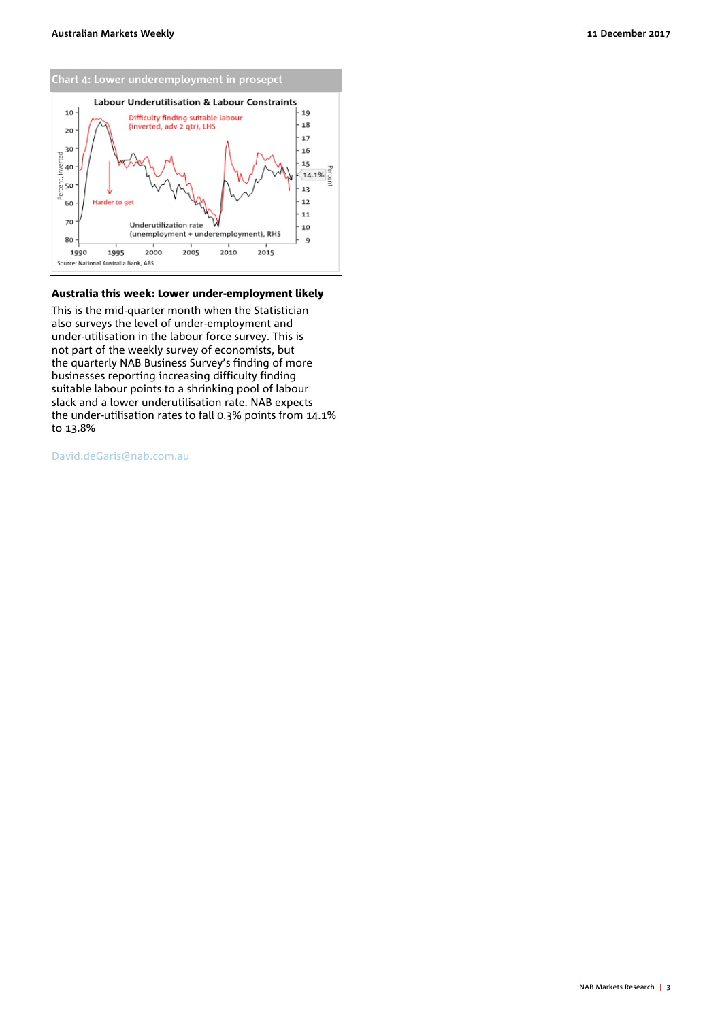

#### Australia this week: Lower under-employment likely

This is the mid-quarter month when the Statistician also surveys the level of under-employment and under-utilisation in the labour force survey. This is not part of the weekly survey of economists, but the quarterly NAB Business Survey's finding of more businesses reporting increasing difficulty finding suitable labour points to a shrinking pool of labour slack and a lower underutilisation rate. NAB expects the under-utilisation rates to fall 0.3% points from 14.1% to 13.8%

[David.deGaris@nab.com.au](mailto:David.deGaris@nab.com.au)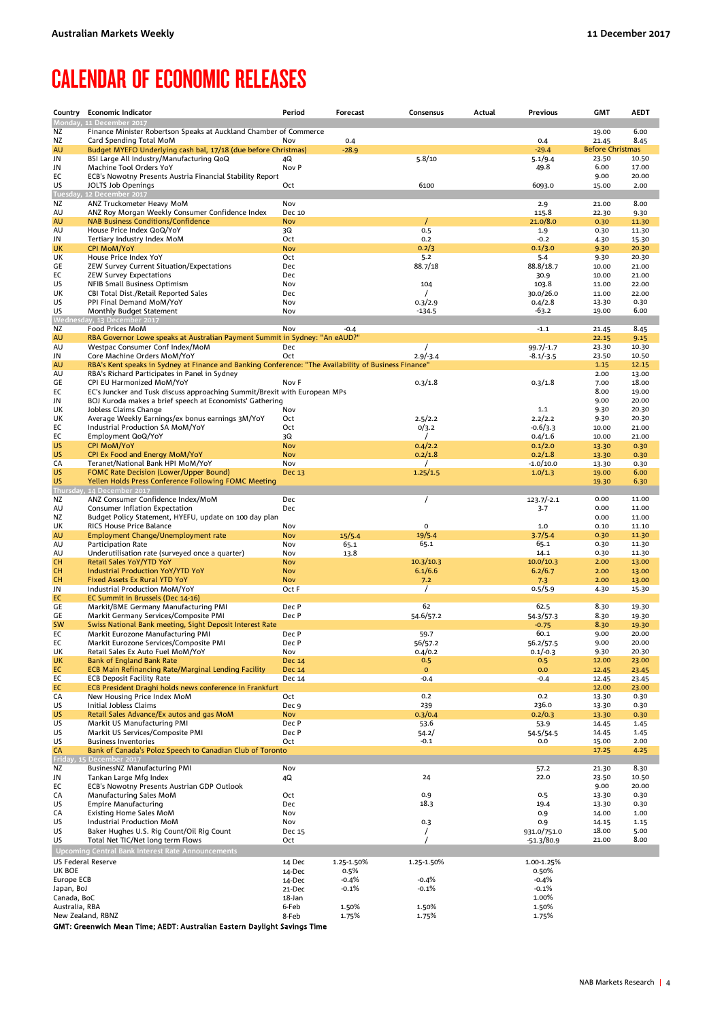## <span id="page-3-0"></span>CALENDAR OF ECONOMIC RELEASES

| Country                   | <b>Economic Indicator</b>                                                                             | Period                   | Forecast           | Consensus              | Actual | Previous              | <b>GMT</b>              | <b>AEDT</b>    |
|---------------------------|-------------------------------------------------------------------------------------------------------|--------------------------|--------------------|------------------------|--------|-----------------------|-------------------------|----------------|
|                           | Monday, 11 December 2017                                                                              |                          |                    |                        |        |                       |                         | 6.00           |
| ΝZ<br>ΝZ                  | Finance Minister Robertson Speaks at Auckland Chamber of Commerce<br>Card Spending Total MoM          | Nov                      | 0.4                |                        |        | 0.4                   | 19.00<br>21.45          | 8.45           |
| AU                        | Budget MYEFO Underlying cash bal, 17/18 (due before Christmas)                                        |                          | $-28.9$            |                        |        | $-29.4$               | <b>Before Christmas</b> |                |
| JN                        | BSI Large All Industry/Manufacturing QoQ                                                              | 4Q                       |                    | 5.8/10                 |        | 5.1/9.4               | 23.50                   | 10.50          |
| JN                        | Machine Tool Orders YoY                                                                               | Nov P                    |                    |                        |        | 49.8                  | 6.00                    | 17.00          |
| EC<br>US                  | ECB's Nowotny Presents Austria Financial Stability Report                                             | Oct                      |                    | 6100                   |        | 6093.0                | 9.00                    | 20.00          |
|                           | JOLTS Job Openings<br>Tuesday, 12 December 2017                                                       |                          |                    |                        |        |                       | 15.00                   | 2.00           |
| ΝZ                        | ANZ Truckometer Heavy MoM                                                                             | Nov                      |                    |                        |        | 2.9                   | 21.00                   | 8.00           |
| AU                        | ANZ Roy Morgan Weekly Consumer Confidence Index                                                       | Dec 10                   |                    |                        |        | 115.8                 | 22.30                   | 9.30           |
| <b>AU</b>                 | <b>NAB Business Conditions/Confidence</b>                                                             | <b>Nov</b>               |                    | $\prime$               |        | 21.0/8.0              | 0.30                    | 11.30          |
| AU<br>JN                  | House Price Index QoQ/YoY<br>Tertiary Industry Index MoM                                              | 3Q<br>Oct                |                    | 0.5<br>0.2             |        | 1.9<br>$-0.2$         | 0.30<br>4.30            | 11.30<br>15.30 |
| <b>UK</b>                 | <b>CPI MoM/YoY</b>                                                                                    | <b>Nov</b>               |                    | 0.2/3                  |        | 0.1/3.0               | 9.30                    | 20.30          |
| UK                        | House Price Index YoY                                                                                 | Oct                      |                    | 5.2                    |        | 5.4                   | 9.30                    | 20.30          |
| GE                        | ZEW Survey Current Situation/Expectations                                                             | Dec                      |                    | 88.7/18                |        | 88.8/18.7             | 10.00                   | 21.00          |
| EC<br>US                  | <b>ZEW Survey Expectations</b><br><b>NFIB Small Business Optimism</b>                                 | <b>Dec</b><br>Nov        |                    | 104                    |        | 30.9<br>103.8         | 10.00<br>11.00          | 21.00<br>22.00 |
| UK                        | CBI Total Dist./Retail Reported Sales                                                                 | Dec                      |                    |                        |        | 30.0/26.0             | 11.00                   | 22.00          |
| US                        | PPI Final Demand MoM/YoY                                                                              | Nov                      |                    | 0.3/2.9                |        | 0.4/2.8               | 13.30                   | 0.30           |
| US                        | Monthly Budget Statement                                                                              | Nov                      |                    | $-134.5$               |        | $-63.2$               | 19.00                   | 6.00           |
|                           | Wednesday, 13 December 2017                                                                           |                          |                    |                        |        |                       |                         |                |
| ΝZ<br><b>AU</b>           | Food Prices MoM<br>RBA Governor Lowe speaks at Australian Payment Summit in Sydney: "An eAUD?"        | Nov                      | $-0.4$             |                        |        | $-1.1$                | 21.45<br>22.15          | 8.45<br>9.15   |
| AU                        | Westpac Consumer Conf Index/MoM                                                                       | Dec                      |                    | $\prime$               |        | $99.7/-1.7$           | 23.30                   | 10.30          |
| JN                        | Core Machine Orders MoM/YoY                                                                           | Oct                      |                    | $2.9/-3.4$             |        | $-8.1/-3.5$           | 23.50                   | 10.50          |
| <b>AU</b>                 | RBA's Kent speaks in Sydney at Finance and Banking Conference: "The Availability of Business Finance" |                          |                    |                        |        |                       | 1.15                    | 12.15          |
| AU<br>GE                  | RBA's Richard Participates in Panel in Sydney<br>CPI EU Harmonized MoM/YoY                            | Nov F                    |                    | 0.3/1.8                |        |                       | 2.00<br>7.00            | 13.00<br>18.00 |
| EC                        | EC's Juncker and Tusk discuss approaching Summit/Brexit with European MPs                             |                          |                    |                        |        | 0.3/1.8               | 8.00                    | 19.00          |
| JN                        | BOJ Kuroda makes a brief speech at Economists' Gathering                                              |                          |                    |                        |        |                       | 9.00                    | 20.00          |
| UK                        | Jobless Claims Change                                                                                 | Nov                      |                    |                        |        | 1.1                   | 9.30                    | 20.30          |
| UK                        | Average Weekly Earnings/ex bonus earnings 3M/YoY                                                      | Oct                      |                    | 2.5/2.2                |        | 2.2/2.2               | 9.30                    | 20.30          |
| EC<br>EC                  | Industrial Production SA MoM/YoY<br>Employment QoQ/YoY                                                | Oct<br>3Q                |                    | 0/3.2                  |        | $-0.6/3.3$<br>0.4/1.6 | 10.00<br>10.00          | 21.00<br>21.00 |
| US                        | <b>CPI MoM/YoY</b>                                                                                    | <b>Nov</b>               |                    | 0.4/2.2                |        | 0.1/2.0               | 13.30                   | 0.30           |
| <b>US</b>                 | CPI Ex Food and Energy MoM/YoY                                                                        | <b>Nov</b>               |                    | 0.2/1.8                |        | 0.2/1.8               | 13.30                   | 0.30           |
| CA                        | Teranet/National Bank HPI MoM/YoY                                                                     | Nov                      |                    | $\prime$               |        | $-1.0/10.0$           | 13.30                   | 0.30           |
| <b>US</b><br><b>US</b>    | <b>FOMC Rate Decision (Lower/Upper Bound)</b>                                                         | Dec 13                   |                    | 1.25/1.5               |        | 1.0/1.3               | 19.00<br>19.30          | 6.00<br>6.30   |
|                           | Yellen Holds Press Conference Following FOMC Meeting<br>Thursday, 14 December 2017                    |                          |                    |                        |        |                       |                         |                |
| ΝZ                        | ANZ Consumer Confidence Index/MoM                                                                     | Dec                      |                    | $\prime$               |        | $123.7/-2.1$          | 0.00                    | 11.00          |
| AU                        | Consumer Inflation Expectation                                                                        | Dec                      |                    |                        |        | 3.7                   | 0.00                    | 11.00          |
| ΝZ                        | Budget Policy Statement, HYEFU, update on 100 day plan                                                |                          |                    | $\mathbf 0$            |        |                       | 0.00                    | 11.00          |
| UK<br>AU                  | RICS House Price Balance<br>Employment Change/Unemployment rate                                       | Nov<br><b>Nov</b>        | 15/5.4             | 19/5.4                 |        | $1.0\,$<br>3.7/5.4    | 0.10<br>0.30            | 11.10<br>11.30 |
| AU                        | Participation Rate                                                                                    | Nov                      | 65.1               | 65.1                   |        | 65.1                  | 0.30                    | 11.30          |
| AU                        | Underutilisation rate (surveyed once a quarter)                                                       | Nov                      | 13.8               |                        |        | 14.1                  | 0.30                    | 11.30          |
| <b>CH</b>                 | Retail Sales YoY/YTD YoY                                                                              | <b>Nov</b>               |                    | 10.3/10.3              |        | 10.0/10.3             | 2.00                    | 13.00          |
| CH.<br><b>CH</b>          | Industrial Production YoY/YTD YoY<br><b>Fixed Assets Ex Rural YTD YoY</b>                             | <b>Nov</b><br><b>Nov</b> |                    | 6.1/6.6<br>7.2         |        | 6.2/6.7<br>7.3        | 2.00<br>2.00            | 13.00<br>13.00 |
| JN                        | Industrial Production MoM/YoY                                                                         | Oct F                    |                    | $\prime$               |        | 0.5/5.9               | 4.30                    | 15.30          |
| EC                        | EC Summit in Brussels (Dec 14-16)                                                                     |                          |                    |                        |        |                       |                         |                |
| GE                        | Markit/BME Germany Manufacturing PMI                                                                  | Dec P                    |                    | 62                     |        | 62.5                  | 8.30                    | 19.30          |
| GE                        | Markit Germany Services/Composite PMI                                                                 | Dec P                    |                    | 54.6/57.2              |        | 54.3/57.3             | 8.30                    | 19.30          |
| <b>SW</b><br>EC           | Swiss National Bank meeting, Sight Deposit Interest Rate<br>Markit Eurozone Manufacturing PMI         | Dec P                    |                    | 59.7                   |        | $-0.75$<br>60.1       | 8.30<br>9.00            | 19.30<br>20.00 |
| EC                        | Markit Eurozone Services/Composite PMI                                                                | Dec P                    |                    | 56/57.2                |        | 56.2/57.5             | 9.00                    | 20.00          |
| UK                        | Retail Sales Ex Auto Fuel MoM/YoY                                                                     | Nov                      |                    | 0.4/0.2                |        | $0.1/-0.3$            | 9.30                    | 20.30          |
| UK                        | Bank of England Bank Rate                                                                             | <b>Dec 14</b>            |                    | 0.5                    |        | 0.5                   | 12.00                   | 23.00          |
| EC<br>EC                  | <b>ECB Main Refinancing Rate/Marginal Lending Facility</b><br><b>ECB Deposit Facility Rate</b>        | <b>Dec 14</b><br>Dec 14  |                    | $\mathbf{O}$<br>$-0.4$ |        | 0.0<br>$-0.4$         | 12.45<br>12.45          | 23.45<br>23.45 |
| EC                        | ECB President Draghi holds news conference in Frankfurt                                               |                          |                    |                        |        |                       | 12.00                   | 23.00          |
| CA                        | New Housing Price Index MoM                                                                           | Oct                      |                    | 0.2                    |        | 0.2                   | 13.30                   | 0.30           |
| US                        | <b>Initial Jobless Claims</b>                                                                         | Dec 9                    |                    | 239                    |        | 236.0                 | 13.30                   | 0.30           |
| US<br>US                  | Retail Sales Advance/Ex autos and gas MoM<br>Markit US Manufacturing PMI                              | <b>Nov</b><br>Dec P      |                    | 0.3/0.4<br>53.6        |        | 0.2/0.3<br>53.9       | 13.30<br>14.45          | 0.30<br>1.45   |
| US                        | Markit US Services/Composite PMI                                                                      | Dec P                    |                    | 54.2/                  |        | 54.5/54.5             | 14.45                   | 1.45           |
| US                        | <b>Business Inventories</b>                                                                           | Oct                      |                    | $-0.1$                 |        | 0.0                   | 15.00                   | 2.00           |
| CA                        | Bank of Canada's Poloz Speech to Canadian Club of Toronto                                             |                          |                    |                        |        |                       | 17.25                   | 4.25           |
| ΝZ                        | Friday, 15 December 2017<br><b>BusinessNZ Manufacturing PMI</b>                                       | Nov                      |                    |                        |        | 57.2                  | 21.30                   | 8.30           |
| JN                        | Tankan Large Mfg Index                                                                                | 4Q                       |                    | 24                     |        | 22.0                  | 23.50                   | 10.50          |
| EC                        | ECB's Nowotny Presents Austrian GDP Outlook                                                           |                          |                    |                        |        |                       | 9.00                    | 20.00          |
| CA                        | Manufacturing Sales MoM                                                                               | Oct                      |                    | 0.9                    |        | 0.5                   | 13.30                   | 0.30           |
| US<br>CA                  | <b>Empire Manufacturing</b><br><b>Existing Home Sales MoM</b>                                         | Dec<br>Nov               |                    | 18.3                   |        | 19.4<br>0.9           | 13.30<br>14.00          | 0.30<br>1.00   |
| US                        | Industrial Production MoM                                                                             | Nov                      |                    | 0.3                    |        | 0.9                   | 14.15                   | 1.15           |
| US                        | Baker Hughes U.S. Rig Count/Oil Rig Count                                                             | Dec 15                   |                    | $\prime$               |        | 931.0/751.0           | 18.00                   | 5.00           |
| US                        | Total Net TIC/Net long term Flows                                                                     | Oct                      |                    | $\prime$               |        | $-51.3/80.9$          | 21.00                   | 8.00           |
|                           | Upcoming Central Bank Interest Rate Announcements                                                     |                          |                    |                        |        |                       |                         |                |
| <b>US Federal Reserve</b> |                                                                                                       | 14 Dec                   | 1.25-1.50%         | 1.25-1.50%             |        | 1.00-1.25%            |                         |                |
| UK BOE                    |                                                                                                       | 14-Dec                   | 0.5%               |                        |        | 0.50%                 |                         |                |
| Europe ECB<br>Japan, BoJ  |                                                                                                       | 14-Dec<br>21-Dec         | $-0.4%$<br>$-0.1%$ | $-0.4%$<br>-0.1%       |        | $-0.4%$<br>$-0.1%$    |                         |                |
| Canada, BoC               |                                                                                                       | 18-Jan                   |                    |                        |        | 1.00%                 |                         |                |
| Australia, RBA            |                                                                                                       | 6-Feb                    | 1.50%              | 1.50%                  |        | 1.50%                 |                         |                |
| New Zealand, RBNZ         |                                                                                                       | 8-Feb                    | 1.75%              | 1.75%                  |        | 1.75%                 |                         |                |
|                           | GMT: Greenwich Mean Time; AEDT: Australian Eastern Daylight Savings Time                              |                          |                    |                        |        |                       |                         |                |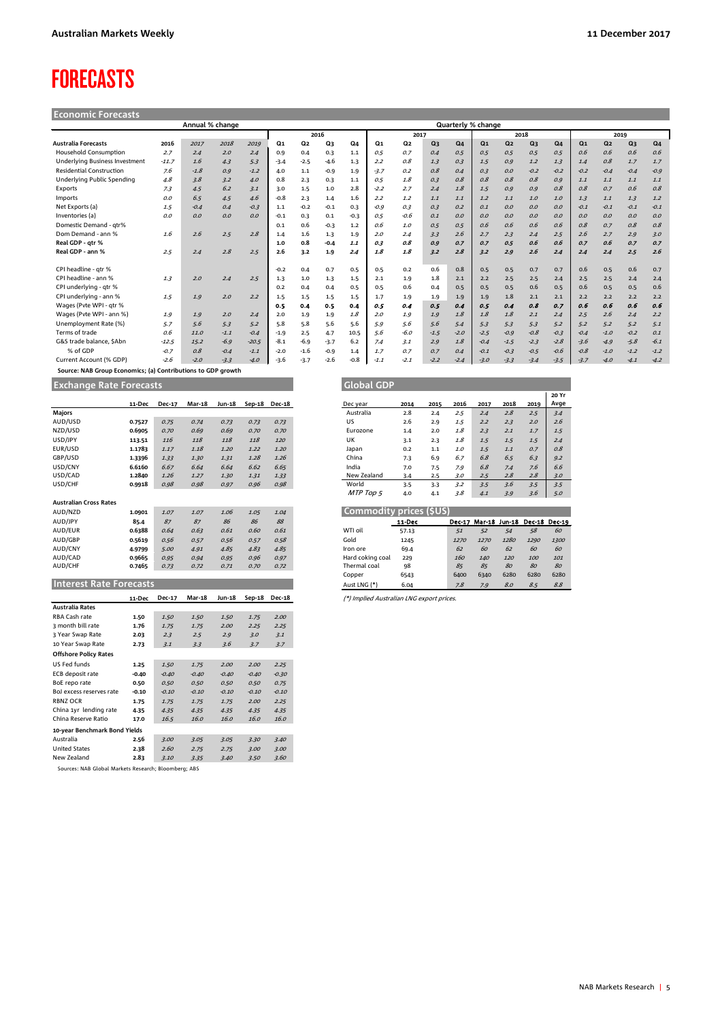## <span id="page-4-0"></span>FORECASTS

| <b>Economic Forecasts</b>       |         |                 |        |         |        |                |        |        |                |         |                |                |                    |                |                |                |                |                |                |                |
|---------------------------------|---------|-----------------|--------|---------|--------|----------------|--------|--------|----------------|---------|----------------|----------------|--------------------|----------------|----------------|----------------|----------------|----------------|----------------|----------------|
|                                 |         | Annual % change |        |         |        |                |        |        |                |         |                |                | Quarterly % change |                |                |                |                |                |                |                |
|                                 |         |                 |        |         | 2016   |                |        |        | 2017           |         |                | 2018           |                    |                |                | 2019           |                |                |                |                |
| <b>Australia Forecasts</b>      | 2016    | 2017            | 2018   | 2019    | Q1     | Q <sub>2</sub> | Q3     | Q4     | Q <sub>1</sub> | Q2      | Q <sub>3</sub> | Q <sub>4</sub> | Q <sub>1</sub>     | Q <sub>2</sub> | Q <sub>3</sub> | Q <sub>4</sub> | Q <sub>1</sub> | Q <sub>2</sub> | Q <sub>3</sub> | Q <sub>4</sub> |
| Household Consumption           | 2.7     | 2.4             | 2.0    | 2.4     | 0.9    | 0.4            | 0.3    | 1.1    | 0.5            | 0.7     | 0.4            | 0.5            | 0.5                | 0.5            | 0.5            | 0.5            | 0.6            | 0.6            | 0.6            | 0.6            |
| Underlying Business Investment  | $-11.7$ | 1.6             | 4.3    | 5.3     | $-3.4$ | $-2.5$         | $-4.6$ | 1.3    | 2.2            | 0.8     | 1.3            | 0.3            | 1.5                | 0.9            | 1.2            | 1.3            | 1.4            | 0.8            | 1.7            | 1.7            |
| <b>Residential Construction</b> | 7.6     | $-1.8$          | 0.9    | $-1.2$  | 4.0    | 1.1            | $-0.9$ | 1.9    | $-3.7$         | 0.2     | 0.8            | 0.4            | 0.3                | 0.0            | $-0.2$         | $-0.2$         | $-0.2$         | $-0.4$         | $-0.4$         | $-0.9$         |
| Underlying Public Spending      | 4.8     | 3.8             | 3.2    | 4.0     | 0.8    | 2.3            | 0.3    | 1.1    | 0.5            | $1.8\,$ | 0.3            | 0.8            | 0.8                | 0.8            | 0.8            | 0.9            | 1.1            | 1.1            | 1.1            | 1.1            |
| Exports                         | 7.3     | 4.5             | 6.2    | 3.1     | 3.0    | 1.5            | 1.0    | 2.8    | $-2.2$         | 2.7     | 2.4            | 1.8            | 1.5                | 0.9            | 0.9            | 0.8            | 0.8            | 0.7            | 0.6            | 0.8            |
| Imports                         | 0.0     | 6.5             | 4.5    | 4.6     | $-0.8$ | 2.3            | 1.4    | 1.6    | 2.2            | 1.2     | 1.1            | 1.1            | 1.2                | 1.1            | 1.0            | 1.0            | 1.3            | 1.1            | 1.3            | 1.2            |
| Net Exports (a)                 | 1.5     | $-0.4$          | 0.4    | $-0.3$  | 1.1    | $-0.2$         | $-0.1$ | 0.3    | $-0.9$         | 0.3     | 0.3            | 0.2            | 0.1                | 0.0            | 0.0            | O.O            | $-0.1$         | $-0.1$         | $-0.1$         | $-0.1$         |
| Inventories (a)                 | 0.0     | O.O             | 0.0    | 0.0     | $-0.1$ | 0.3            | 0.1    | $-0.3$ | 0.5            | $-0.6$  | 0.1            | O.O            | 0.0                | O.O            | 0.0            | O.O            | O.O            | O.O            | O.O            | 0.0            |
| Domestic Demand - qtr%          |         |                 |        |         | 0.1    | 0.6            | $-0.3$ | 1.2    | 0.6            | 1.0     | 0.5            | 0.5            | 0.6                | 0.6            | 0.6            | 0.6            | 0.8            | 0.7            | 0.8            | 0.8            |
| Dom Demand - ann %              | 1.6     | 2.6             | 2.5    | 2.8     | 1.4    | 1.6            | 1.3    | 1.9    | 2.0            | 2.4     | 3.3            | 2.6            | 2.7                | 2.3            | 2.4            | 2.5            | 2.6            | 2.7            | 2.9            | 3.0            |
| Real GDP - qtr %                |         |                 |        |         | 1.0    | 0.8            | $-0.4$ | 1.1    | 0.3            | 0.8     | 0.9            | 0.7            | 0.7                | 0.5            | 0.6            | 0.6            | 0.7            | 0.6            | 0.7            | 0.7            |
| Real GDP - ann %                | 2.5     | 2.4             | 2.8    | 2.5     | 2.6    | 3.2            | 1.9    | 2.4    | 1.8            | 1.8     | 3.2            | 2.8            | 3.2                | 2.9            | 2.6            | 2.4            | 2.4            | 2.4            | 2.5            | 2.6            |
| CPI headline - atr %            |         |                 |        |         | $-0.2$ | 0.4            | 0.7    | 0.5    | 0.5            | 0.2     | 0.6            | 0.8            | 0.5                | 0.5            | 0.7            | 0.7            | 0.6            | 0.5            | 0.6            | 0.7            |
| CPI headline - ann %            | 1.3     | 2.0             | 2.4    | 2.5     | 1.3    | 1.0            | 1.3    | 1.5    | 2.1            | 1.9     | 1.8            | 2.1            | 2.2                | 2.5            | 2.5            | 2.4            | 2.5            | 2.5            | 2.4            | 2.4            |
| CPI underlying - gtr %          |         |                 |        |         | 0.2    | 0.4            | 0.4    | 0.5    | 0.5            | 0.6     | 0.4            | 0.5            | 0.5                | 0.5            | 0.6            | 0.5            | 0.6            | 0.5            | 0.5            | 0.6            |
| CPI underlying - ann %          | 1.5     | 1.9             | 2.0    | 2.2     | 1.5    | 1.5            | 1.5    | 1.5    | 1.7            | 1.9     | 1.9            | 1.9            | 1.9                | 1.8            | 2.1            | 2.1            | 2.2            | 2.2            | 2.2            | 2.2            |
| Wages (Pvte WPI - gtr %         |         |                 |        |         | 0.5    | 0.4            | 0.5    | 0.4    | 0.5            | 0.4     | 0.5            | 0.4            | 0.5                | 0.4            | 0.8            | 0.7            | 0.6            | 0.6            | 0.6            | 0.6            |
| Wages (Pyte WPI - ann %)        | 1.9     | 1.9             | 2.0    | 2.4     | 2.0    | 1.9            | 1.9    | 1.8    | 2.0            | 1.9     | 1.9            | 1.8            | 1.8                | 1.8            | 2.1            | 2.4            | 2.5            | 2.6            | 2.4            | 2.2            |
| Unemployment Rate (%)           | 5.7     | 5.6             | 5.3    | 5.2     | 5.8    | 5.8            | 5.6    | 5.6    | 5.9            | 5.6     | 5.6            | 5.4            | 5.3                | 5.3            | 5.3            | 5.2            | 5.2            | 5.2            | 5.2            | 5.1            |
| Terms of trade                  | 0.6     | 11.0            | $-1.1$ | $-0.4$  | $-1.9$ | 2.5            | 4.7    | 10.5   | 5.6            | $-6.0$  | $-1.5$         | $-2.0$         | $-2.5$             | $-0.9$         | $-0.8$         | $-0.3$         | $-0.4$         | $-1.0$         | $-0.2$         | 0.1            |
| G&S trade balance, SAbn         | $-12.5$ | 15.2            | $-6.9$ | $-20.5$ | $-8.1$ | $-6.9$         | $-3.7$ | 6.2    | 7.4            | 3.1     | 2.9            | 1.8            | $-0.4$             | $-1.5$         | $-2.3$         | $-2.8$         | $-3.6$         | $-4.9$         | $-5.8$         | $-6.1$         |
| % of GDP                        | $-0.7$  | 0.8             | $-0.4$ | $-1.1$  | $-2.0$ | $-1.6$         | $-0.9$ | 1.4    | 1.7            | 0.7     | 0.7            | 0.4            | $-0.1$             | $-0.3$         | $-0.5$         | $-0.6$         | $-0.8$         | $-1.0$         | $-1.2$         | $-1.2$         |
| Current Account (% GDP)         | $-2.6$  | $-2.0$          | $-3.3$ | $-4.0$  | $-3.6$ | $-3.7$         | $-2.6$ | $-0.8$ | $-1.1$         | $-2.1$  | $-2.2$         | $-2.4$         | $-3.0$             | $-3.3$         | $-3.4$         | $-3.5$         | $-3.7$         | $-4.0$         | $-4.1$         | $-4.2$         |

 **Source: NAB Group Economics; (a) Contributions to GDP growth**

**Exchange Rate Forecasts** 

|                                | 11-Dec | <b>Dec-17</b> | <b>Mar-18</b> | Jun-18 | Sep-18 | <b>Dec-18</b> | Dec year                                  | 2014   | 2015 | 2016          | 2017          | 2018 | 2019          | Avge |
|--------------------------------|--------|---------------|---------------|--------|--------|---------------|-------------------------------------------|--------|------|---------------|---------------|------|---------------|------|
| <b>Majors</b>                  |        |               |               |        |        |               | Australia                                 | 2.8    | 2.4  | 2.5           | 2.4           | 2.8  | 2.5           | 3.4  |
| AUD/USD                        | 0.7527 | 0.75          | 0.74          | 0.73   | 0.73   | 0.73          | <b>US</b>                                 | 2.6    | 2.9  | 1.5           | 2.2           | 2.3  | 2.0           | 2.6  |
| NZD/USD                        | 0.6905 | 0.70          | 0.69          | 0.69   | 0.70   | 0.70          | Eurozone                                  | 1.4    | 2.0  | 1.8           | 2.3           | 2.1  | 1.7           | 1.5  |
| USD/JPY                        | 113.51 | 116           | 118           | 118    | 118    | 120           | UK                                        | 3.1    | 2.3  | 1.8           | 1.5           | 1.5  | 1.5           | 2.4  |
| EUR/USD                        | 1.1783 | 1.17          | 1.18          | 1.20   | 1.22   | 1.20          | Japan                                     | 0.2    | 1.1  | 1.0           | 1.5           | 1.1  | 0.7           | 0.8  |
| GBP/USD                        | 1.3396 | 1.33          | 1.30          | 1.31   | 1.28   | 1.26          | China                                     | 7.3    | 6.9  | 6.7           | 6.8           | 6.5  | 6.3           | 9.2  |
| USD/CNY                        | 6.6160 | 6.67          | 6.64          | 6.64   | 6.62   | 6.65          | India                                     | 7.0    | 7.5  | 7.9           | 6.8           | 7.4  | 7.6           | 6.6  |
| USD/CAD                        | 1.2840 | 1.26          | 1.27          | 1.30   | 1.31   | 1.33          | New Zealand                               | 3.4    | 2.5  | 3.0           | 2.5           | 2.8  | 2.8           | 3.0  |
| USD/CHF                        | 0.9918 | 0.98          | 0.98          | 0.97   | 0.96   | 0.98          | World                                     | 3.5    | 3.3  | 3.2           | 3.5           | 3.6  | 3.5           | 3.5  |
|                                |        |               |               |        |        |               | MTP Top 5                                 | 4.0    | 4.1  | 3.8           | 4.1           | 3.9  | 3.6           | 5.0  |
| <b>Australian Cross Rates</b>  |        |               |               |        |        |               |                                           |        |      |               |               |      |               |      |
| AUD/NZD                        | 1.0901 | 1.07          | 1.07          | 1.06   | 1.05   | 1.04          | Commodity prices (\$US)                   |        |      |               |               |      |               |      |
| AUD/JPY                        | 85.4   | 87            | 87            | 86     | 86     | 88            |                                           | 11-Dec |      | <b>Dec-17</b> | Mar-18 Jun-18 |      | Dec 18 Dec 19 |      |
| AUD/EUR                        | 0.6388 | 0.64          | 0.63          | 0.61   | 0.60   | 0.61          | WTI oil                                   | 57.13  |      | 51            | 52            | 54   | 58            | 60   |
| AUD/GBP                        | 0.5619 | 0.56          | 0.57          | 0.56   | 0.57   | 0.58          | Gold                                      | 1245   |      | 1270          | 1270          | 1280 | 1290          | 1300 |
| AUD/CNY                        | 4.9799 | 5.00          | 4.91          | 4.85   | 4.83   | 4.85          | Iron ore                                  | 69.4   |      | 62            | 60            | 62   | 60            | 60   |
| AUD/CAD                        | 0.9665 | 0.95          | 0.94          | 0.95   | 0.96   | 0.97          | Hard coking coal                          | 229    |      | 160           | 140           | 120  | 100           | 101  |
| AUD/CHF                        | 0.7465 | 0.73          | 0.72          | 0.71   | 0.70   | 0.72          | Thermal coal                              | 98     |      | 85            | 85            | 80   | 80            | 80   |
|                                |        |               |               |        |        |               | Copper                                    | 6543   |      | 6400          | 6340          | 6280 | 6280          | 6280 |
| <b>Interest Rate Forecasts</b> |        |               |               |        |        |               | Aust LNG (*)                              | 6.04   |      | 7.8           | 7.9           | 8.0  | 8.5           | 8.8  |
|                                | 11-Dec | Dec-17        | <b>Mar-18</b> | Jun-18 | Sep-18 | <b>Dec-18</b> | (*) Implied Australian LNG export prices. |        |      |               |               |      |               |      |
| <b>Australia Rates</b>         |        |               |               |        |        |               |                                           |        |      |               |               |      |               |      |
| RBA Cash rate                  | 1.50   | 1.50          | 1.50          | 1.50   | 1.75   | 2.00          |                                           |        |      |               |               |      |               |      |
| 3 month bill rate              | 1.76   | 1.75          | 1.75          | 2.00   | 2.25   | 2.25          |                                           |        |      |               |               |      |               |      |
| 3 Year Swap Rate               | 2.03   | 2.3           | 2.5           | 2.9    | 3.0    | 3.1           |                                           |        |      |               |               |      |               |      |
|                                |        |               |               |        |        |               |                                           |        |      |               |               |      |               |      |

3 Year Swap Rate **2.03** 2.3 2.5 2.9 3.0 3.1 10 Year Swap Rate **2.73** 3.1 3.3 3.6 3.7 3.7

US Fed funds<br>**1.25** 1.50 1.75 2.00 2.00 2.25<br>**ECB** deposit rate -0.40 -0.40 -0.40 -0.40 -0.30 -0.30 **ECB** deposit rate **-0.40** -0.40 -0.40 -0.40 -0.40 -0.40 -0.40<br>
BoE repo rate -0.40 -0.40 -0.40 -0.40 -0.40 -0.30<br>
BoE repo rate -0.50 0.50 0.50 0.50 0.75 0.75

BoJ excess reserves rate **-0.10** -0.10 -0.10 -0.10 -0.10 -0.10 -0.10<br>RBNZ OCR **1.75** 1.75 1.75 1.75 2.00 2.25 **RBNZ OCR** 1.75 1.75 1.75 1.75 2.00 2.25<br> **China 1yr lending rate** 4.35 4.35 4.35 4.35 4.35 4.35 4.35

China Reserve Ratio **17.0** 16.5 16.0 16.0 16.0 16.0

Australia **2.56** 3.00 3.05 3.05 3.30 3.40 United States **2.38** 2.60 2.75 2.75 3.00 3.00

| precasts |               |               |        |      |               | l Global GDP |      |      |      |      |      |      |               |
|----------|---------------|---------------|--------|------|---------------|--------------|------|------|------|------|------|------|---------------|
| 11-Dec   | <b>Dec-17</b> | <b>Mar-18</b> | Jun-18 |      | Sep-18 Dec-18 | Dec year     | 2014 | 2015 | 2016 | 2017 | 2018 | 2019 | 20 Yr<br>Avge |
|          |               |               |        |      |               | Australia    | 2.8  | 2.4  | 2.5  | 2.4  | 2.8  | 2.5  | 3.4           |
| 0.7527   | 0.75          | 0.74          | 0.73   | 0.73 | 0.73          | US           | 2.6  | 2.9  | 1.5  | 2.2  | 2.3  | 2.0  | 2.6           |
| 0.6905   | 0.70          | 0.69          | 0.69   | 0.70 | 0.70          | Eurozone     | 1.4  | 2.0  | 1.8  | 2.3  | 2.1  | 1.7  | 1.5           |
| 113.51   | 116           | 118           | 118    | 118  | 120           | UK           | 3.1  | 2.3  | 1.8  | 1.5  | 1.5  | 1.5  | 2.4           |
| 1.1783   | 1.17          | 1.18          | 1.20   | 1.22 | 1.20          | Japan        | 0.2  | 1.1  | 1.0  | 1.5  | 1.1  | 0.7  | 0.8           |
| 1.3396   | 1.33          | 1.30          | 1.31   | 1.28 | 1.26          | China        | 7.3  | 6.9  | 6.7  | 6.8  | 6.5  | 6.3  | 9.2           |
| 6.6160   | 6.67          | 6.64          | 6.64   | 6.62 | 6.65          | India        | 7.0  | 7.5  | 7.9  | 6.8  | 7.4  | 7.6  | 6.6           |
| 1.2840   | 1.26          | 1.27          | 1.30   | 1.31 | 1.33          | New Zealand  | 3.4  | 2.5  | 3.0  | 2.5  | 2.8  | 2.8  | 3.0           |
| 0.9918   | 0.98          | 0.98          | 0.97   | 0.96 | 0.98          | World        | 3.5  | 3.3  | 3.2  | 3.5  | 3.6  | 3.5  | 3.5           |
|          |               |               |        |      |               | MTP Top 5    | 4.0  | 4.1  | 3.8  | 4.1  | 3.9  | 3.6  | 5.0           |
|          |               |               |        |      |               |              |      |      |      |      |      |      |               |

|                  | Commodity prices (\$US) |      |                      |      |               |      |
|------------------|-------------------------|------|----------------------|------|---------------|------|
|                  | 11-Dec                  |      | Dec-17 Mar-18 Jun-18 |      | Dec 18 Dec 19 |      |
| WTI oil          | 57.13                   | 51   | 52                   | 54   | 58            | 60   |
| Gold             | 1245                    | 1270 | 1270                 | 1280 | 1290          | 1300 |
| Iron ore         | 69.4                    | 62   | 60                   | 62   | 60            | 60   |
| Hard coking coal | 229                     | 160  | 140                  | 120  | 100           | 101  |
| Thermal coal     | 98                      | 85   | 85                   | 80   | 80            | 80   |
| Copper           | 6543                    | 6400 | 6340                 | 6280 | 6280          | 6280 |
| Aust LNG (*)     | 6.04                    | 7.8  | 7.9                  | 8.0  | 8.5           | 8.8  |

New Zealand **2.83** 3.10 3.35 3.40 3.50 3.60 Sources: NAB Global Markets Research; Bloomberg; ABS

China 1yr lending rate **4.35** 4.35 4.35 4.35 4.35 4.35

**10-year Benchmark Bond Yields**

**Offshore Policy Rates**

BoE repo rate